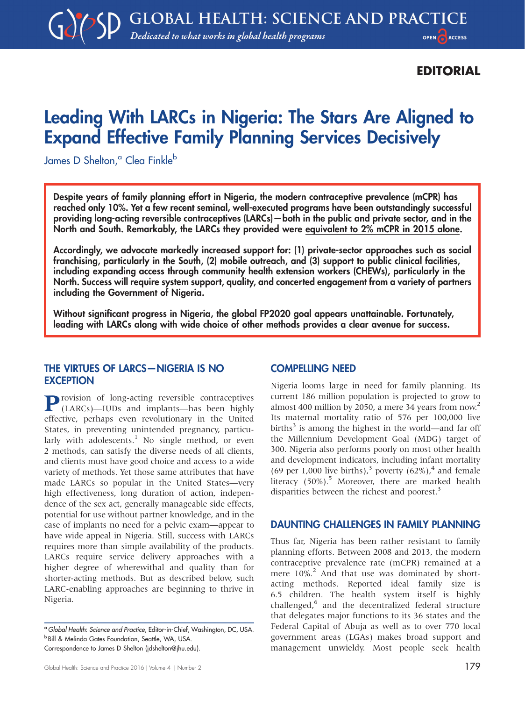## EDITORIAL

# Leading With LARCs in Nigeria: The Stars Are Aligned to Expand Effective Family Planning Services Decisively

James D Shelton,<sup>a</sup> Clea Finkle<sup>b</sup>

Despite years of family planning effort in Nigeria, the modern contraceptive prevalence (mCPR) has reached only 10%. Yet a few recent seminal, well-executed programs have been outstandingly successful providing long-acting reversible contraceptives (LARCs)—both in the public and private sector, and in the North and South. Remarkably, the LARCs they provided were equivalent to 2% mCPR in 2015 alone.

Accordingly, we advocate markedly increased support for: (1) private-sector approaches such as social franchising, particularly in the South, (2) mobile outreach, and (3) support to public clinical facilities, including expanding access through community health extension workers (CHEWs), particularly in the North. Success will require system support, quality, and concerted engagement from a variety of partners including the Government of Nigeria.

Without significant progress in Nigeria, the global FP2020 goal appears unattainable. Fortunately, leading with LARCs along with wide choice of other methods provides a clear avenue for success.

### THE VIRTUES OF LARCS—NIGERIA IS NO **EXCEPTION**

**P**rovision of long-acting reversible contraceptives (LARCs)—IUDs and implants—has been highly effective, perhaps even revolutionary in the United States, in preventing unintended pregnancy, particularly with adolescents. $<sup>1</sup>$  No single method, or even</sup> 2 methods, can satisfy the diverse needs of all clients, and clients must have good choice and access to a wide variety of methods. Yet those same attributes that have made LARCs so popular in the United States—very high effectiveness, long duration of action, independence of the sex act, generally manageable side effects, potential for use without partner knowledge, and in the case of implants no need for a pelvic exam—appear to have wide appeal in Nigeria. Still, success with LARCs requires more than simple availability of the products. LARCs require service delivery approaches with a higher degree of wherewithal and quality than for shorter-acting methods. But as described below, such LARC-enabling approaches are beginning to thrive in Nigeria.

Correspondence to James D Shelton [\(jdshelton@jhu.edu](mailto:jdshelton@jhu.edu)).

#### COMPELLING NEED

Nigeria looms large in need for family planning. Its current 186 million population is projected to grow to almost 400 million by 2050, a mere 34 years from now.<sup>2</sup> Its maternal mortality ratio of 576 per 100,000 live births<sup>3</sup> is among the highest in the world—and far off the Millennium Development Goal (MDG) target of 300. Nigeria also performs poorly on most other health and development indicators, including infant mortality (69 per 1,000 live births),<sup>3</sup> poverty (62%),<sup>4</sup> and female literacy  $(50\%)$ .<sup>5</sup> Moreover, there are marked health disparities between the richest and poorest.<sup>3</sup>

#### DAUNTING CHALLENGES IN FAMILY PLANNING

Thus far, Nigeria has been rather resistant to family planning efforts. Between 2008 and 2013, the modern contraceptive prevalence rate (mCPR) remained at a mere  $10\%$ <sup>2</sup> And that use was dominated by shortacting methods. Reported ideal family size is 6.5 children. The health system itself is highly challenged, $6$  and the decentralized federal structure that delegates major functions to its 36 states and the Federal Capital of Abuja as well as to over 770 local government areas (LGAs) makes broad support and management unwieldy. Most people seek health

<sup>&</sup>lt;sup>a</sup> Global Health: Science and Practice, Editor-in-Chief, Washington, DC, USA. **b Bill & Melinda Gates Foundation, Seattle, WA, USA.**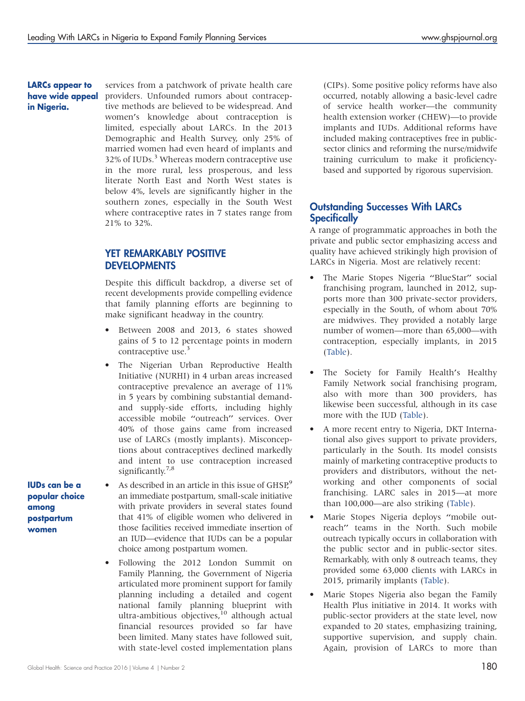#### LARCs appear to have wide appeal in Nigeria.

services from a patchwork of private health care providers. Unfounded rumors about contraceptive methods are believed to be widespread. And women's knowledge about contraception is limited, especially about LARCs. In the 2013 Demographic and Health Survey, only 25% of married women had even heard of implants and 32% of IUDs.<sup>3</sup> Whereas modern contraceptive use in the more rural, less prosperous, and less literate North East and North West states is below 4%, levels are significantly higher in the southern zones, especially in the South West where contraceptive rates in 7 states range from 21% to 32%.

## YET REMARKABLY POSITIVE **DEVELOPMENTS**

Despite this difficult backdrop, a diverse set of recent developments provide compelling evidence that family planning efforts are beginning to make significant headway in the country.

- Between 2008 and 2013, 6 states showed gains of 5 to 12 percentage points in modern contraceptive use.<sup>3</sup>
- The Nigerian Urban Reproductive Health Initiative (NURHI) in 4 urban areas increased contraceptive prevalence an average of 11% in 5 years by combining substantial demandand supply-side efforts, including highly accessible mobile ''outreach'' services. Over 40% of those gains came from increased use of LARCs (mostly implants). Misconceptions about contraceptives declined markedly and intent to use contraception increased significantly.<sup>7,8</sup>
- As described in an article in this issue of  $GHSP<sup>9</sup>$ an immediate postpartum, small-scale initiative with private providers in several states found that 41% of eligible women who delivered in those facilities received immediate insertion of an IUD—evidence that IUDs can be a popular choice among postpartum women.
- Following the 2012 London Summit on Family Planning, the Government of Nigeria articulated more prominent support for family planning including a detailed and cogent national family planning blueprint with ultra-ambitious objectives, $10$  although actual financial resources provided so far have been limited. Many states have followed suit, with state-level costed implementation plans

(CIPs). Some positive policy reforms have also occurred, notably allowing a basic-level cadre of service health worker—the community health extension worker (CHEW)—to provide implants and IUDs. Additional reforms have included making contraceptives free in publicsector clinics and reforming the nurse/midwife training curriculum to make it proficiencybased and supported by rigorous supervision.

## Outstanding Successes With LARCs **Specifically**

A range of programmatic approaches in both the private and public sector emphasizing access and quality have achieved strikingly high provision of LARCs in Nigeria. Most are relatively recent:

- The Marie Stopes Nigeria "BlueStar" social franchising program, launched in 2012, supports more than 300 private-sector providers, especially in the South, of whom about 70% are midwives. They provided a notably large number of women—more than 65,000—with contraception, especially implants, in 2015 [\(Table](#page-2-0)).
- The Society for Family Health's Healthy Family Network social franchising program, also with more than 300 providers, has likewise been successful, although in its case more with the IUD [\(Table](#page-2-0)).
- A more recent entry to Nigeria, DKT International also gives support to private providers, particularly in the South. Its model consists mainly of marketing contraceptive products to providers and distributors, without the networking and other components of social franchising. LARC sales in 2015—at more than 100,000—are also striking [\(Table](#page-2-0)).
- Marie Stopes Nigeria deploys ''mobile outreach'' teams in the North. Such mobile outreach typically occurs in collaboration with the public sector and in public-sector sites. Remarkably, with only 8 outreach teams, they provided some 63,000 clients with LARCs in 2015, primarily implants ([Table](#page-2-0)).
- Marie Stopes Nigeria also began the Family Health Plus initiative in 2014. It works with public-sector providers at the state level, now expanded to 20 states, emphasizing training, supportive supervision, and supply chain. Again, provision of LARCs to more than

IUDs can be a popular choice among postpartum women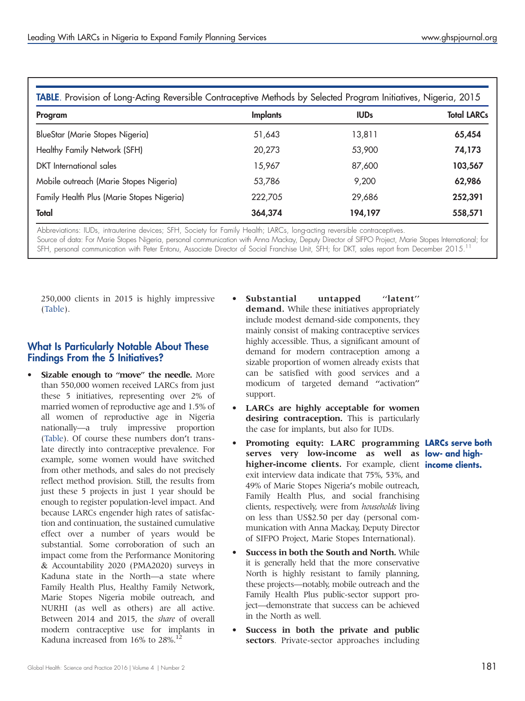<span id="page-2-0"></span>

| TABLE. Provision of Long-Acting Reversible Contraceptive Methods by Selected Program Initiatives, Nigeria, 2015 |                 |             |                    |
|-----------------------------------------------------------------------------------------------------------------|-----------------|-------------|--------------------|
| Program                                                                                                         | <b>Implants</b> | <b>IUDs</b> | <b>Total LARCs</b> |
| BlueStar (Marie Stopes Nigeria)                                                                                 | 51,643          | 13,811      | 65,454             |
| Healthy Family Network (SFH)                                                                                    | 20,273          | 53,900      | 74,173             |
| DKT International sales                                                                                         | 15,967          | 87,600      | 103,567            |
| Mobile outreach (Marie Stopes Nigeria)                                                                          | 53,786          | 9,200       | 62,986             |
| Family Health Plus (Marie Stopes Nigeria)                                                                       | 222,705         | 29,686      | 252,391            |
| Total                                                                                                           | 364,374         | 194,197     | 558,571            |

Abbreviations: IUDs, intrauterine devices; SFH, Society for Family Health; LARCs, long-acting reversible contraceptives.

Source of data: For Marie Stopes Nigeria, personal communication with Anna Mackay, Deputy Director of SIFPO Project, Marie Stopes International; for SFH, personal communication with Peter Entonu, Associate Director of Social Franchise Unit, SFH; for DKT, sales report from December 2015.<sup>11</sup>

250,000 clients in 2015 is highly impressive (Table).

## What Is Particularly Notable About These Findings From the 5 Initiatives?

- Sizable enough to "move" the needle. More than 550,000 women received LARCs from just these 5 initiatives, representing over 2% of married women of reproductive age and 1.5% of all women of reproductive age in Nigeria nationally—a truly impressive proportion (Table). Of course these numbers don't translate directly into contraceptive prevalence. For example, some women would have switched from other methods, and sales do not precisely reflect method provision. Still, the results from just these 5 projects in just 1 year should be enough to register population-level impact. And because LARCs engender high rates of satisfaction and continuation, the sustained cumulative effect over a number of years would be substantial. Some corroboration of such an impact come from the Performance Monitoring & Accountability 2020 (PMA2020) surveys in Kaduna state in the North—a state where Family Health Plus, Healthy Family Network, Marie Stopes Nigeria mobile outreach, and NURHI (as well as others) are all active. Between 2014 and 2015, the share of overall modern contraceptive use for implants in Kaduna increased from 16% to 28%.<sup>12</sup>
- Substantial untapped "latent" demand. While these initiatives appropriately include modest demand-side components, they mainly consist of making contraceptive services highly accessible. Thus, a significant amount of demand for modern contraception among a sizable proportion of women already exists that can be satisfied with good services and a modicum of targeted demand ''activation'' support.
- LARCs are highly acceptable for women desiring contraception. This is particularly the case for implants, but also for IUDs.
- Promoting equity: LARC programming LARCs serve both serves very low-income as well as low- and highhigher-income clients. For example, client income clients. exit interview data indicate that 75%, 53%, and 49% of Marie Stopes Nigeria's mobile outreach, Family Health Plus, and social franchising clients, respectively, were from households living on less than US\$2.50 per day (personal communication with Anna Mackay, Deputy Director of SIFPO Project, Marie Stopes International).
- Success in both the South and North. While it is generally held that the more conservative North is highly resistant to family planning, these projects—notably, mobile outreach and the Family Health Plus public-sector support project—demonstrate that success can be achieved in the North as well.
- Success in both the private and public sectors. Private-sector approaches including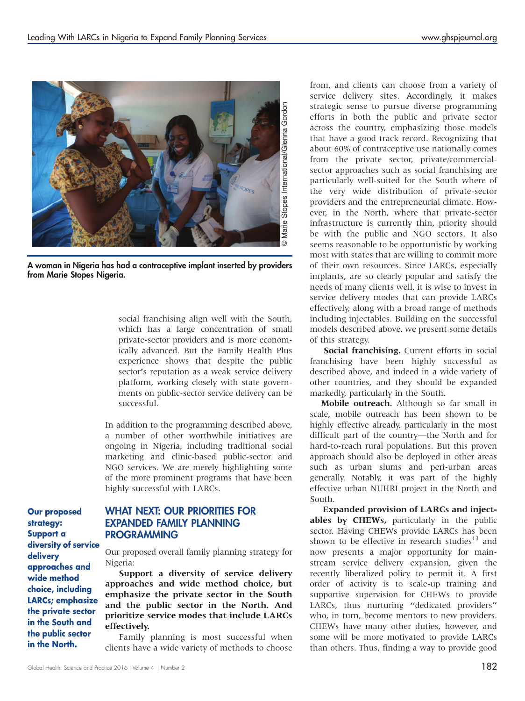

A woman in Nigeria has had a contraceptive implant inserted by providers from Marie Stopes Nigeria.

social franchising align well with the South, which has a large concentration of small private-sector providers and is more economically advanced. But the Family Health Plus experience shows that despite the public sector's reputation as a weak service delivery platform, working closely with state governments on public-sector service delivery can be successful.

In addition to the programming described above, a number of other worthwhile initiatives are ongoing in Nigeria, including traditional social marketing and clinic-based public-sector and NGO services. We are merely highlighting some of the more prominent programs that have been highly successful with LARCs.

Our proposed strategy: Support a diversity of service delivery approaches and wide method choice, including LARCs; emphasize the private sector in the South and the public sector in the North.

## WHAT NEXT: OUR PRIORITIES FOR EXPANDED FAMILY PLANNING PROGRAMMING

Our proposed overall family planning strategy for Nigeria:

Support a diversity of service delivery approaches and wide method choice, but emphasize the private sector in the South and the public sector in the North. And prioritize service modes that include LARCs effectively.

Family planning is most successful when clients have a wide variety of methods to choose

from, and clients can choose from a variety of service delivery sites. Accordingly, it makes strategic sense to pursue diverse programming efforts in both the public and private sector across the country, emphasizing those models that have a good track record. Recognizing that about 60% of contraceptive use nationally comes from the private sector, private/commercialsector approaches such as social franchising are particularly well-suited for the South where of the very wide distribution of private-sector providers and the entrepreneurial climate. However, in the North, where that private-sector infrastructure is currently thin, priority should be with the public and NGO sectors. It also seems reasonable to be opportunistic by working most with states that are willing to commit more of their own resources. Since LARCs, especially implants, are so clearly popular and satisfy the needs of many clients well, it is wise to invest in service delivery modes that can provide LARCs effectively, along with a broad range of methods including injectables. Building on the successful models described above, we present some details of this strategy.

Social franchising. Current efforts in social franchising have been highly successful as described above, and indeed in a wide variety of other countries, and they should be expanded markedly, particularly in the South.

Mobile outreach. Although so far small in scale, mobile outreach has been shown to be highly effective already, particularly in the most difficult part of the country—the North and for hard-to-reach rural populations. But this proven approach should also be deployed in other areas such as urban slums and peri-urban areas generally. Notably, it was part of the highly effective urban NUHRI project in the North and South.

Expanded provision of LARCs and injectables by CHEWs, particularly in the public sector. Having CHEWs provide LARCs has been shown to be effective in research studies<sup>13</sup> and now presents a major opportunity for mainstream service delivery expansion, given the recently liberalized policy to permit it. A first order of activity is to scale-up training and supportive supervision for CHEWs to provide LARCs, thus nurturing ''dedicated providers'' who, in turn, become mentors to new providers. CHEWs have many other duties, however, and some will be more motivated to provide LARCs than others. Thus, finding a way to provide good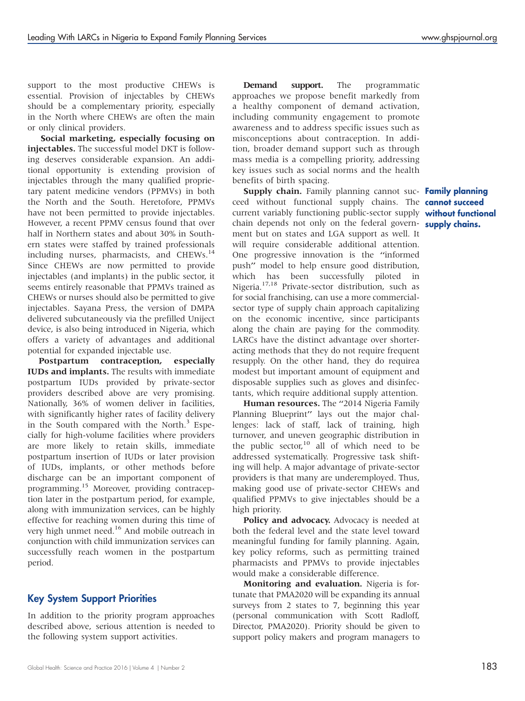support to the most productive CHEWs is essential. Provision of injectables by CHEWs should be a complementary priority, especially in the North where CHEWs are often the main or only clinical providers.

Social marketing, especially focusing on injectables. The successful model DKT is following deserves considerable expansion. An additional opportunity is extending provision of injectables through the many qualified proprietary patent medicine vendors (PPMVs) in both the North and the South. Heretofore, PPMVs have not been permitted to provide injectables. However, a recent PPMV census found that over half in Northern states and about 30% in Southern states were staffed by trained professionals including nurses, pharmacists, and CHEWs.<sup>14</sup> Since CHEWs are now permitted to provide injectables (and implants) in the public sector, it seems entirely reasonable that PPMVs trained as CHEWs or nurses should also be permitted to give injectables. Sayana Press, the version of DMPA delivered subcutaneously via the prefilled Uniject device, is also being introduced in Nigeria, which offers a variety of advantages and additional potential for expanded injectable use.

Postpartum contraception, especially IUDs and implants. The results with immediate postpartum IUDs provided by private-sector providers described above are very promising. Nationally, 36% of women deliver in facilities, with significantly higher rates of facility delivery in the South compared with the North.<sup>3</sup> Especially for high-volume facilities where providers are more likely to retain skills, immediate postpartum insertion of IUDs or later provision of IUDs, implants, or other methods before discharge can be an important component of programming.<sup>15</sup> Moreover, providing contraception later in the postpartum period, for example, along with immunization services, can be highly effective for reaching women during this time of very high unmet need.<sup>16</sup> And mobile outreach in conjunction with child immunization services can successfully reach women in the postpartum period.

## Key System Support Priorities

In addition to the priority program approaches described above, serious attention is needed to the following system support activities.

Demand support. The programmatic approaches we propose benefit markedly from a healthy component of demand activation, including community engagement to promote awareness and to address specific issues such as misconceptions about contraception. In addition, broader demand support such as through mass media is a compelling priority, addressing key issues such as social norms and the health benefits of birth spacing.

**Supply chain.** Family planning cannot suc- Family planning ceed without functional supply chains. The **cannot succeed** current variably functioning public-sector supply without functional chain depends not only on the federal govern- supply chains. ment but on states and LGA support as well. It will require considerable additional attention. One progressive innovation is the ''informed push'' model to help ensure good distribution, which has been successfully piloted in Nigeria.17,18 Private-sector distribution, such as for social franchising, can use a more commercialsector type of supply chain approach capitalizing on the economic incentive, since participants along the chain are paying for the commodity. LARCs have the distinct advantage over shorteracting methods that they do not require frequent resupply. On the other hand, they do requirea modest but important amount of equipment and disposable supplies such as gloves and disinfectants, which require additional supply attention.

Human resources. The "2014 Nigeria Family Planning Blueprint'' lays out the major challenges: lack of staff, lack of training, high turnover, and uneven geographic distribution in the public sector, $10$  all of which need to be addressed systematically. Progressive task shifting will help. A major advantage of private-sector providers is that many are underemployed. Thus, making good use of private-sector CHEWs and qualified PPMVs to give injectables should be a high priority.

Policy and advocacy. Advocacy is needed at both the federal level and the state level toward meaningful funding for family planning. Again, key policy reforms, such as permitting trained pharmacists and PPMVs to provide injectables would make a considerable difference.

Monitoring and evaluation. Nigeria is fortunate that PMA2020 will be expanding its annual surveys from 2 states to 7, beginning this year (personal communication with Scott Radloff, Director, PMA2020). Priority should be given to support policy makers and program managers to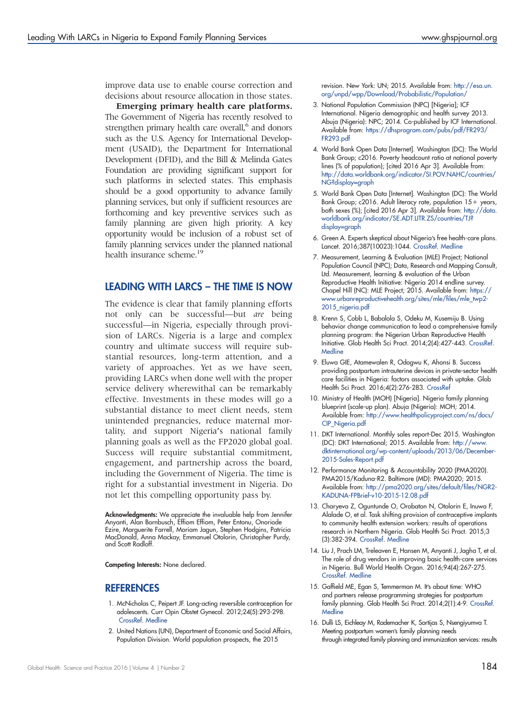improve data use to enable course correction and decisions about resource allocation in those states.

Emerging primary health care platforms. The Government of Nigeria has recently resolved to strengthen primary health care overall,<sup>6</sup> and donors such as the U.S. Agency for International Development (USAID), the Department for International Development (DFID), and the Bill & Melinda Gates Foundation are providing significant support for such platforms in selected states. This emphasis should be a good opportunity to advance family planning services, but only if sufficient resources are forthcoming and key preventive services such as family planning are given high priority. A key opportunity would be inclusion of a robust set of family planning services under the planned national health insurance scheme.<sup>19</sup>

#### LEADING WITH LARCS – THE TIME IS NOW

The evidence is clear that family planning efforts not only can be successful—but are being successful—in Nigeria, especially through provision of LARCs. Nigeria is a large and complex country and ultimate success will require substantial resources, long-term attention, and a variety of approaches. Yet as we have seen, providing LARCs when done well with the proper service delivery wherewithal can be remarkably effective. Investments in these modes will go a substantial distance to meet client needs, stem unintended pregnancies, reduce maternal mortality, and support Nigeria's national family planning goals as well as the FP2020 global goal. Success will require substantial commitment, engagement, and partnership across the board, including the Government of Nigeria. The time is right for a substantial investment in Nigeria. Do not let this compelling opportunity pass by.

Acknowledgments: We appreciate the invaluable help from Jennifer Anyanti, Alan Bornbusch, Effiom Effiom, Peter Entonu, Onoriode Ezire, Marguerite Farrell, Moriam Jagun, Stephen Hodgins, Patricia MacDonald, Anna Mackay, Emmanuel Otolorin, Christopher Purdy, and Scott Radloff.

Competing Interests: None declared.

#### **REFERENCES**

- 1. McNicholas C, Peipert JF. Long-acting reversible contraception for adolescents. Curr Opin Obstet Gynecol. 2012;24(5):293-298. [CrossRef](http://dx.doi.org/10.1097/GCO.0b013e32835686d5). [Medline](http://www.ncbi.nlm.nih.gov/pubmed/22781078)
- 2. United Nations (UN), Department of Economic and Social Affairs, Population Division. World population prospects, the 2015

revision. New York: UN; 2015. Available from: [http://esa.un.](http://esa.un.org/unpd/wpp/Download/Probabilistic/Population/) [org/unpd/wpp/Download/Probabilistic/Population/](http://esa.un.org/unpd/wpp/Download/Probabilistic/Population/)

- 3. National Population Commission (NPC) [Nigeria]; ICF International. Nigeria demographic and health survey 2013. Abuja (Nigeria): NPC; 2014. Co-published by ICF International. Available from: [https://dhsprogram.com/pubs/pdf/FR293/](https://dhsprogram.com/pubs/pdf/FR293/FR293.pdf) [FR293.pdf](https://dhsprogram.com/pubs/pdf/FR293/FR293.pdf)
- 4. World Bank Open Data [Internet]. Washington (DC): The World Bank Group; c2016. Poverty headcount ratio at national poverty lines (% of population); [cited 2016 Apr 3]. Available from: [http://data.worldbank.org/indicator/SI.POV.NAHC/countries/](http://data.worldbank.org/indicator/SI.POV.NAHC/countries/NG?display=graph) [NG?display=graph](http://data.worldbank.org/indicator/SI.POV.NAHC/countries/NG?display=graph)
- 5. World Bank Open Data [Internet]. Washington (DC): The World Bank Group; c2016. Adult literacy rate, population 15+ years, both sexes (%); [cited 2016 Apr 3]. Available from: [http://data.](http://data.worldbank.org/indicator/SE.ADT.LITR.ZS/countries/TJ?display=graph) [worldbank.org/indicator/SE.ADT.LITR.ZS/countries/TJ?](http://data.worldbank.org/indicator/SE.ADT.LITR.ZS/countries/TJ?display=graph) [display=graph](http://data.worldbank.org/indicator/SE.ADT.LITR.ZS/countries/TJ?display=graph)
- 6. Green A. Experts skeptical about Nigeria's free health-care plans. Lancet. 2016;387(10023):1044. [CrossRef.](http://dx.doi.org/10.1097/GCO.0b013e32835686d5) [Medline](http://www.ncbi.nlm.nih.gov/pubmed/22781078)
- 7. Measurement, Learning & Evaluation (MLE) Project; National Population Council (NPC); Data, Research and Mapping Consult, Ltd. Measurement, learning & evaluation of the Urban Reproductive Health Initiative: Nigeria 2014 endline survey. Chapel Hill (NC): MLE Project; 2015. Available from: [https://](https://www.urbanreproductivehealth.org/sites/mle/files/mle_twp2-2015_nigeria.pdf) [www.urbanreproductivehealth.org/sites/mle/files/mle\\_twp2-](https://www.urbanreproductivehealth.org/sites/mle/files/mle_twp2-2015_nigeria.pdf) [2015\\_nigeria.pdf](https://www.urbanreproductivehealth.org/sites/mle/files/mle_twp2-2015_nigeria.pdf)
- 8. Krenn S, Cobb L, Babalola S, Odeku M, Kusemiju B. Using behavior change communication to lead a comprehensive family planning program: the Nigerian Urban Reproductive Health Initiative. Glob Health Sci Pract. 2014;2(4):427-443. [CrossRef](http://dx.doi.org/10.9745/GHSP-D-14-00009). **[Medline](http://www.ncbi.nlm.nih.gov/pubmed/25611477)**
- 9. Eluwa GIE, Atamewalen R, Odogwu K, Ahonsi B. Success providing postpartum intrauterine devices in private-sector health care facilities in Nigeria: factors associated with uptake. Glob Health Sci Pract. 2016;4(2):276-283. [CrossRef](http://dx.doi.org/10.9745/GHSP-D-16-00072)
- 10. Ministry of Health (MOH) [Nigeria]. Nigeria family planning blueprint (scale-up plan). Abuja (Nigeria): MOH; 2014. Available from: [http://www.healthpolicyproject.com/ns/docs/](http://www.healthpolicyproject.com/ns/docs/CIP_Nigeria.pdf) [CIP\\_Nigeria.pdf](http://www.healthpolicyproject.com/ns/docs/CIP_Nigeria.pdf)
- 11. DKT International. Monthly sales report-Dec 2015. Washington (DC): DKT International; 2015. Available from: [http://www.](http://www.dktinternational.org/wp-content/uploads/2013/06/December-2015-Sales-Report.pdf) [dktinternational.org/wp-content/uploads/2013/06/December-](http://www.dktinternational.org/wp-content/uploads/2013/06/December-2015-Sales-Report.pdf)[2015-Sales-Report.pdf](http://www.dktinternational.org/wp-content/uploads/2013/06/December-2015-Sales-Report.pdf)
- 12. Performance Monitoring & Accountability 2020 (PMA2020). PMA2015/Kaduna-R2. Baltimore (MD): PMA2020; 2015. Available from: [http://pma2020.org/sites/default/files/NGR2-](http://pma2020.org/sites/default/files/NGR2-KADUNA-FPBrief-v10-2015-12.08.pdf) [KADUNA-FPBrief-v10-2015-12.08.pdf](http://pma2020.org/sites/default/files/NGR2-KADUNA-FPBrief-v10-2015-12.08.pdf)
- 13. Charyeva Z, Oguntunde O, Orobaton N, Otolorin E, Inuwa F, Alalade O, et al. Task shifting provision of contraceptive implants to community health extension workers: results of operations research in Northern Nigeria. Glob Health Sci Pract. 2015;3 (3):382-394. [CrossRef](http://dx.doi.org/10.9745/GHSP-D-15-00129). [Medline](http://www.ncbi.nlm.nih.gov/pubmed/26374800)
- 14. Liu J, Prach LM, Treleaven E, Hansen M, Anyanti J, Jagha T, et al. The role of drug vendors in improving basic health-care services in Nigeria. Bull World Health Organ. 2016;94(4):267-275. [CrossRef](http://dx.doi.org/10.2471/BLT.15.154666). [Medline](http://www.ncbi.nlm.nih.gov/pubmed/27034520)
- 15. Gaffield ME, Egan S, Temmerman M. It's about time: WHO and partners release programming strategies for postpartum family planning. Glob Health Sci Pract. 2014;2(1):4-9. [CrossRef](http://dx.doi.org/10.9745/GHSP-D-13-00156). **[Medline](http://www.ncbi.nlm.nih.gov/pubmed/25276558)**
- 16. Dulli LS, Eichleay M, Rademacher K, Sortijas S, Nsengiyumva T. Meeting postpartum women's family planning needs through integrated family planning and immunization services: results